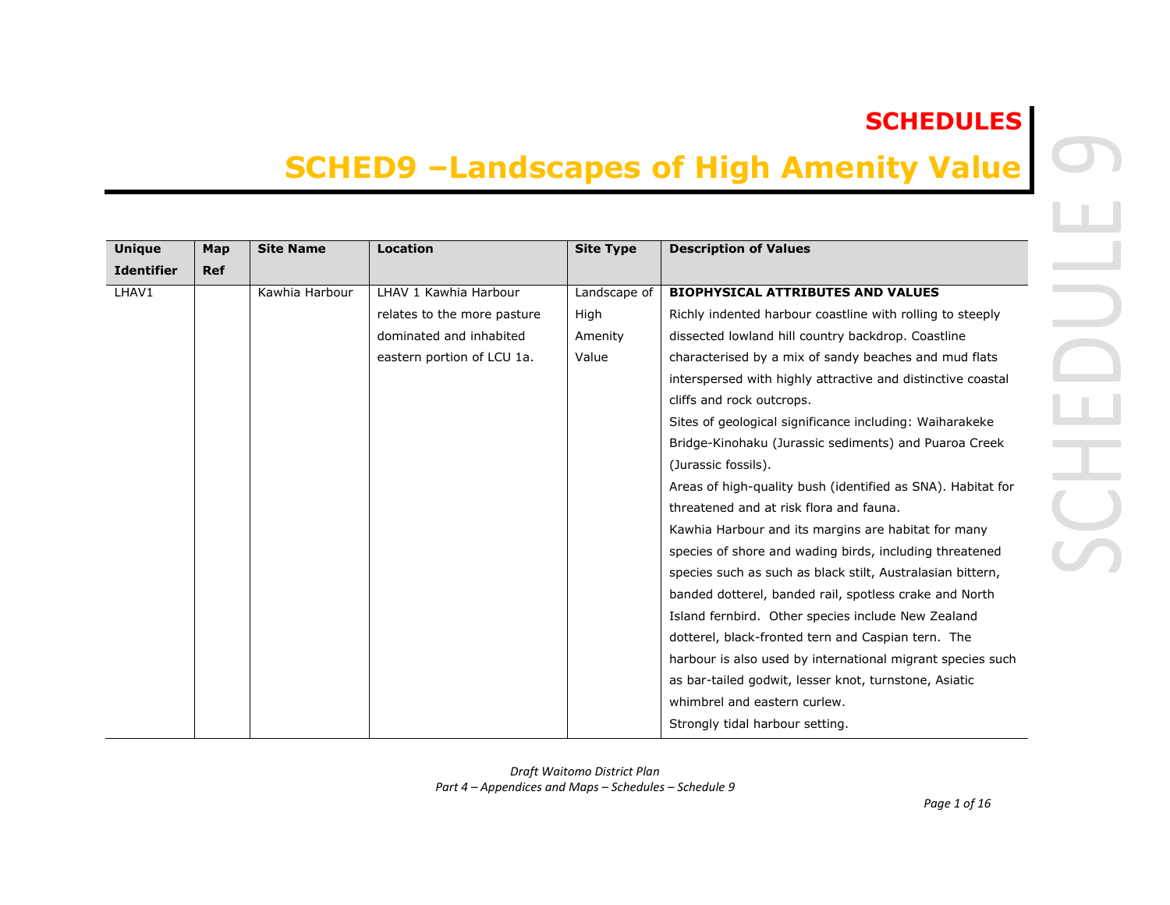## **SCHEDULES**

## **SCHED9 –Landscapes of High Amenity Value**

| <b>Unique</b>     | Map        | <b>Site Name</b> | <b>Location</b>             | <b>Site Type</b> | <b>Description of Values</b>                                |
|-------------------|------------|------------------|-----------------------------|------------------|-------------------------------------------------------------|
| <b>Identifier</b> | <b>Ref</b> |                  |                             |                  |                                                             |
| LHAV1             |            | Kawhia Harbour   | LHAV 1 Kawhia Harbour       | Landscape of     | <b>BIOPHYSICAL ATTRIBUTES AND VALUES</b>                    |
|                   |            |                  | relates to the more pasture | High             | Richly indented harbour coastline with rolling to steeply   |
|                   |            |                  | dominated and inhabited     | Amenity          | dissected lowland hill country backdrop. Coastline          |
|                   |            |                  | eastern portion of LCU 1a.  | Value            | characterised by a mix of sandy beaches and mud flats       |
|                   |            |                  |                             |                  | interspersed with highly attractive and distinctive coastal |
|                   |            |                  |                             |                  | cliffs and rock outcrops.                                   |
|                   |            |                  |                             |                  | Sites of geological significance including: Waiharakeke     |
|                   |            |                  |                             |                  | Bridge-Kinohaku (Jurassic sediments) and Puaroa Creek       |
|                   |            |                  |                             |                  | (Jurassic fossils).                                         |
|                   |            |                  |                             |                  | Areas of high-quality bush (identified as SNA). Habitat for |
|                   |            |                  |                             |                  | threatened and at risk flora and fauna.                     |
|                   |            |                  |                             |                  | Kawhia Harbour and its margins are habitat for many         |
|                   |            |                  |                             |                  | species of shore and wading birds, including threatened     |
|                   |            |                  |                             |                  | species such as such as black stilt, Australasian bittern,  |
|                   |            |                  |                             |                  | banded dotterel, banded rail, spotless crake and North      |
|                   |            |                  |                             |                  | Island fernbird. Other species include New Zealand          |
|                   |            |                  |                             |                  | dotterel, black-fronted tern and Caspian tern. The          |
|                   |            |                  |                             |                  | harbour is also used by international migrant species such  |
|                   |            |                  |                             |                  | as bar-tailed godwit, lesser knot, turnstone, Asiatic       |
|                   |            |                  |                             |                  | whimbrel and eastern curlew.                                |
|                   |            |                  |                             |                  | Strongly tidal harbour setting.                             |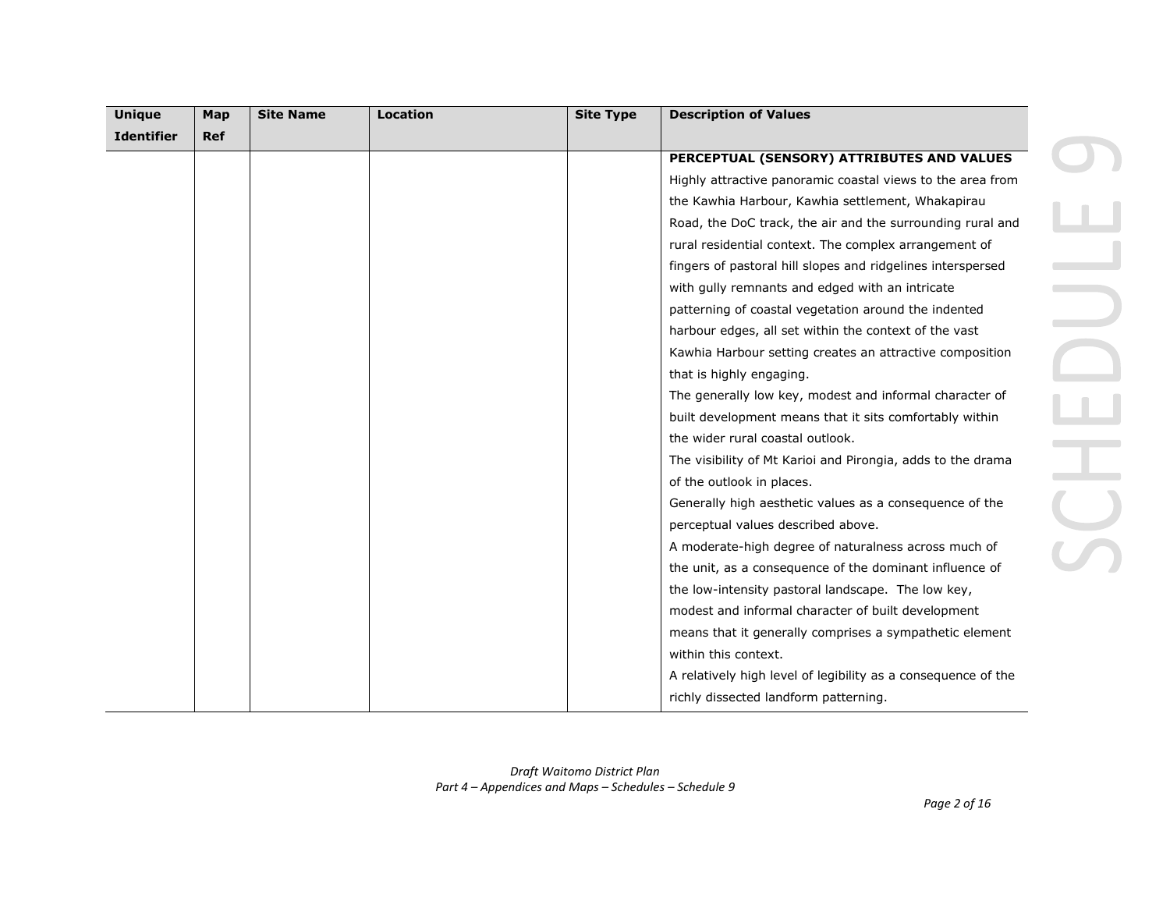| <b>Unique</b>     | Map        | <b>Site Name</b> | <b>Location</b> | <b>Site Type</b> | <b>Description of Values</b>                                  |  |
|-------------------|------------|------------------|-----------------|------------------|---------------------------------------------------------------|--|
| <b>Identifier</b> | <b>Ref</b> |                  |                 |                  |                                                               |  |
|                   |            |                  |                 |                  | PERCEPTUAL (SENSORY) ATTRIBUTES AND VALUES                    |  |
|                   |            |                  |                 |                  | Highly attractive panoramic coastal views to the area from    |  |
|                   |            |                  |                 |                  | the Kawhia Harbour, Kawhia settlement, Whakapirau             |  |
|                   |            |                  |                 |                  | Road, the DoC track, the air and the surrounding rural and    |  |
|                   |            |                  |                 |                  | rural residential context. The complex arrangement of         |  |
|                   |            |                  |                 |                  | fingers of pastoral hill slopes and ridgelines interspersed   |  |
|                   |            |                  |                 |                  | with gully remnants and edged with an intricate               |  |
|                   |            |                  |                 |                  | patterning of coastal vegetation around the indented          |  |
|                   |            |                  |                 |                  | harbour edges, all set within the context of the vast         |  |
|                   |            |                  |                 |                  | Kawhia Harbour setting creates an attractive composition      |  |
|                   |            |                  |                 |                  | that is highly engaging.                                      |  |
|                   |            |                  |                 |                  | The generally low key, modest and informal character of       |  |
|                   |            |                  |                 |                  | built development means that it sits comfortably within       |  |
|                   |            |                  |                 |                  | the wider rural coastal outlook.                              |  |
|                   |            |                  |                 |                  | The visibility of Mt Karioi and Pirongia, adds to the drama   |  |
|                   |            |                  |                 |                  | of the outlook in places.                                     |  |
|                   |            |                  |                 |                  | Generally high aesthetic values as a consequence of the       |  |
|                   |            |                  |                 |                  | perceptual values described above.                            |  |
|                   |            |                  |                 |                  | A moderate-high degree of naturalness across much of          |  |
|                   |            |                  |                 |                  | the unit, as a consequence of the dominant influence of       |  |
|                   |            |                  |                 |                  | the low-intensity pastoral landscape. The low key,            |  |
|                   |            |                  |                 |                  | modest and informal character of built development            |  |
|                   |            |                  |                 |                  | means that it generally comprises a sympathetic element       |  |
|                   |            |                  |                 |                  | within this context.                                          |  |
|                   |            |                  |                 |                  | A relatively high level of legibility as a consequence of the |  |
|                   |            |                  |                 |                  | richly dissected landform patterning.                         |  |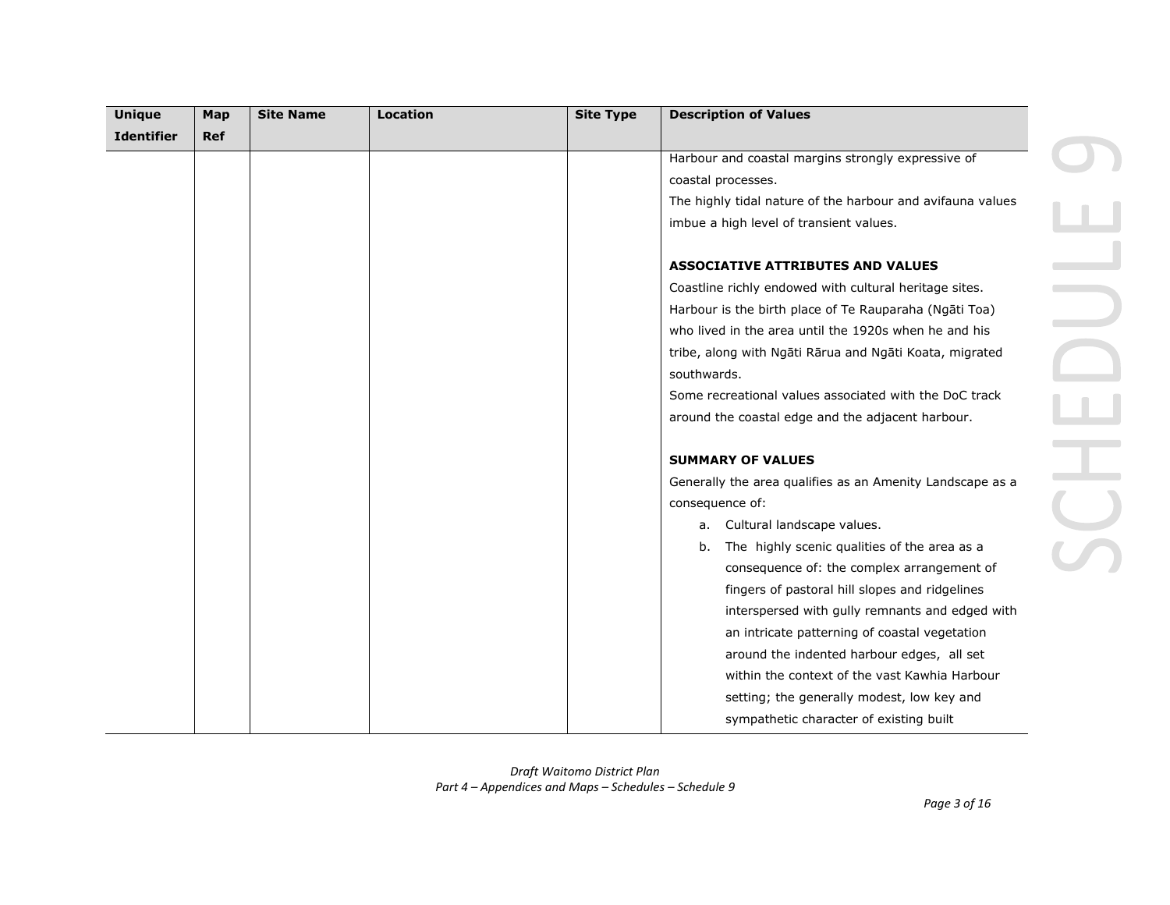| <b>Unique</b>     | Map        | <b>Site Name</b> | <b>Location</b> | <b>Site Type</b> | <b>Description of Values</b>                               |
|-------------------|------------|------------------|-----------------|------------------|------------------------------------------------------------|
| <b>Identifier</b> | <b>Ref</b> |                  |                 |                  |                                                            |
|                   |            |                  |                 |                  | Harbour and coastal margins strongly expressive of         |
|                   |            |                  |                 |                  | coastal processes.                                         |
|                   |            |                  |                 |                  | The highly tidal nature of the harbour and avifauna values |
|                   |            |                  |                 |                  | imbue a high level of transient values.                    |
|                   |            |                  |                 |                  | <b>ASSOCIATIVE ATTRIBUTES AND VALUES</b>                   |
|                   |            |                  |                 |                  | Coastline richly endowed with cultural heritage sites.     |
|                   |            |                  |                 |                  | Harbour is the birth place of Te Rauparaha (Ngāti Toa)     |
|                   |            |                  |                 |                  | who lived in the area until the 1920s when he and his      |
|                   |            |                  |                 |                  | tribe, along with Ngāti Rārua and Ngāti Koata, migrated    |
|                   |            |                  |                 |                  | southwards.                                                |
|                   |            |                  |                 |                  | Some recreational values associated with the DoC track     |
|                   |            |                  |                 |                  | around the coastal edge and the adjacent harbour.          |
|                   |            |                  |                 |                  | <b>SUMMARY OF VALUES</b>                                   |
|                   |            |                  |                 |                  | Generally the area qualifies as an Amenity Landscape as a  |
|                   |            |                  |                 |                  | consequence of:                                            |
|                   |            |                  |                 |                  | Cultural landscape values.<br>a.                           |
|                   |            |                  |                 |                  | The highly scenic qualities of the area as a<br>b.         |
|                   |            |                  |                 |                  | consequence of: the complex arrangement of                 |
|                   |            |                  |                 |                  | fingers of pastoral hill slopes and ridgelines             |
|                   |            |                  |                 |                  | interspersed with gully remnants and edged with            |
|                   |            |                  |                 |                  | an intricate patterning of coastal vegetation              |
|                   |            |                  |                 |                  | around the indented harbour edges, all set                 |
|                   |            |                  |                 |                  | within the context of the vast Kawhia Harbour              |
|                   |            |                  |                 |                  | setting; the generally modest, low key and                 |
|                   |            |                  |                 |                  | sympathetic character of existing built                    |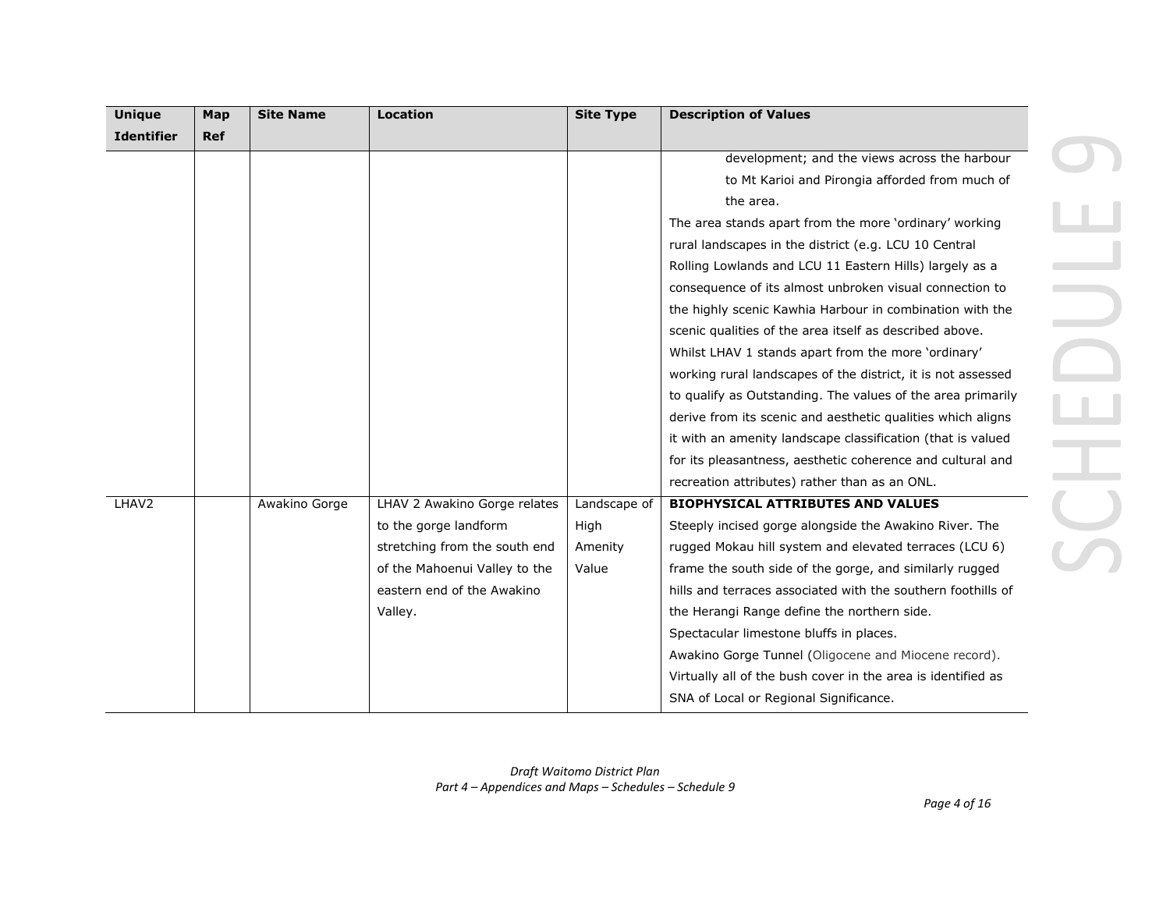| <b>Unique</b>     | Map        | <b>Site Name</b> | <b>Location</b>               | <b>Site Type</b> | <b>Description of Values</b>                                 |
|-------------------|------------|------------------|-------------------------------|------------------|--------------------------------------------------------------|
| <b>Identifier</b> | <b>Ref</b> |                  |                               |                  |                                                              |
|                   |            |                  |                               |                  | development; and the views across the harbour                |
|                   |            |                  |                               |                  | to Mt Karioi and Pirongia afforded from much of              |
|                   |            |                  |                               |                  | the area.                                                    |
|                   |            |                  |                               |                  | The area stands apart from the more 'ordinary' working       |
|                   |            |                  |                               |                  | rural landscapes in the district (e.g. LCU 10 Central        |
|                   |            |                  |                               |                  | Rolling Lowlands and LCU 11 Eastern Hills) largely as a      |
|                   |            |                  |                               |                  | consequence of its almost unbroken visual connection to      |
|                   |            |                  |                               |                  | the highly scenic Kawhia Harbour in combination with the     |
|                   |            |                  |                               |                  | scenic qualities of the area itself as described above.      |
|                   |            |                  |                               |                  | Whilst LHAV 1 stands apart from the more 'ordinary'          |
|                   |            |                  |                               |                  | working rural landscapes of the district, it is not assessed |
|                   |            |                  |                               |                  | to qualify as Outstanding. The values of the area primarily  |
|                   |            |                  |                               |                  | derive from its scenic and aesthetic qualities which aligns  |
|                   |            |                  |                               |                  | it with an amenity landscape classification (that is valued  |
|                   |            |                  |                               |                  | for its pleasantness, aesthetic coherence and cultural and   |
|                   |            |                  |                               |                  | recreation attributes) rather than as an ONL.                |
| LHAV <sub>2</sub> |            | Awakino Gorge    | LHAV 2 Awakino Gorge relates  | Landscape of     | <b>BIOPHYSICAL ATTRIBUTES AND VALUES</b>                     |
|                   |            |                  | to the gorge landform         | High             | Steeply incised gorge alongside the Awakino River. The       |
|                   |            |                  | stretching from the south end | Amenity          | rugged Mokau hill system and elevated terraces (LCU 6)       |
|                   |            |                  | of the Mahoenui Valley to the | Value            | frame the south side of the gorge, and similarly rugged      |
|                   |            |                  | eastern end of the Awakino    |                  | hills and terraces associated with the southern foothills of |
|                   |            |                  | Valley.                       |                  | the Herangi Range define the northern side.                  |
|                   |            |                  |                               |                  | Spectacular limestone bluffs in places.                      |
|                   |            |                  |                               |                  | Awakino Gorge Tunnel (Oligocene and Miocene record).         |
|                   |            |                  |                               |                  | Virtually all of the bush cover in the area is identified as |
|                   |            |                  |                               |                  | SNA of Local or Regional Significance.                       |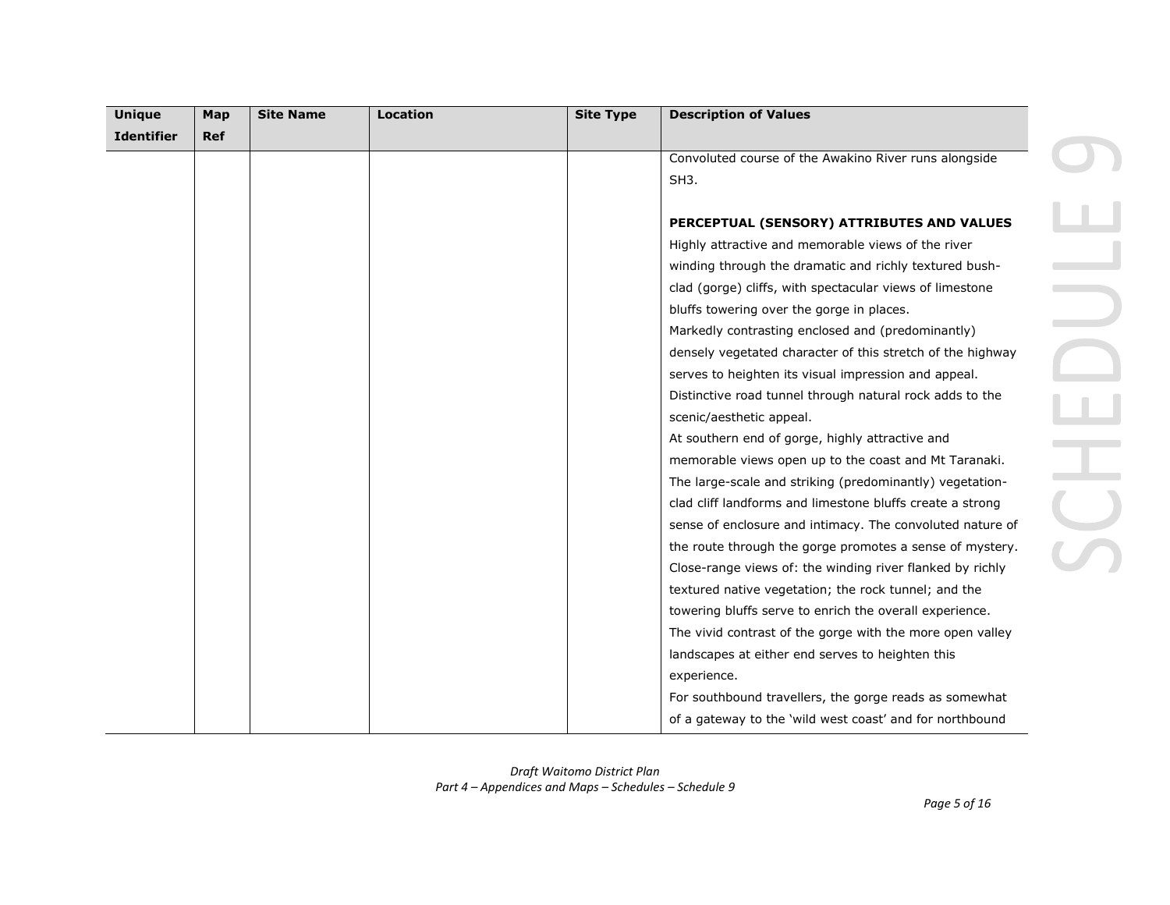| <b>Unique</b>     | Map        | <b>Site Name</b> | <b>Location</b> | <b>Site Type</b> | <b>Description of Values</b>                               |
|-------------------|------------|------------------|-----------------|------------------|------------------------------------------------------------|
| <b>Identifier</b> | <b>Ref</b> |                  |                 |                  |                                                            |
|                   |            |                  |                 |                  | Convoluted course of the Awakino River runs alongside      |
|                   |            |                  |                 |                  | SH <sub>3</sub> .                                          |
|                   |            |                  |                 |                  |                                                            |
|                   |            |                  |                 |                  | PERCEPTUAL (SENSORY) ATTRIBUTES AND VALUES                 |
|                   |            |                  |                 |                  | Highly attractive and memorable views of the river         |
|                   |            |                  |                 |                  | winding through the dramatic and richly textured bush-     |
|                   |            |                  |                 |                  | clad (gorge) cliffs, with spectacular views of limestone   |
|                   |            |                  |                 |                  | bluffs towering over the gorge in places.                  |
|                   |            |                  |                 |                  | Markedly contrasting enclosed and (predominantly)          |
|                   |            |                  |                 |                  | densely vegetated character of this stretch of the highway |
|                   |            |                  |                 |                  | serves to heighten its visual impression and appeal.       |
|                   |            |                  |                 |                  | Distinctive road tunnel through natural rock adds to the   |
|                   |            |                  |                 |                  | scenic/aesthetic appeal.                                   |
|                   |            |                  |                 |                  | At southern end of gorge, highly attractive and            |
|                   |            |                  |                 |                  | memorable views open up to the coast and Mt Taranaki.      |
|                   |            |                  |                 |                  | The large-scale and striking (predominantly) vegetation-   |
|                   |            |                  |                 |                  | clad cliff landforms and limestone bluffs create a strong  |
|                   |            |                  |                 |                  | sense of enclosure and intimacy. The convoluted nature of  |
|                   |            |                  |                 |                  | the route through the gorge promotes a sense of mystery.   |
|                   |            |                  |                 |                  | Close-range views of: the winding river flanked by richly  |
|                   |            |                  |                 |                  | textured native vegetation; the rock tunnel; and the       |
|                   |            |                  |                 |                  | towering bluffs serve to enrich the overall experience.    |
|                   |            |                  |                 |                  | The vivid contrast of the gorge with the more open valley  |
|                   |            |                  |                 |                  | landscapes at either end serves to heighten this           |
|                   |            |                  |                 |                  | experience.                                                |
|                   |            |                  |                 |                  | For southbound travellers, the gorge reads as somewhat     |
|                   |            |                  |                 |                  | of a gateway to the 'wild west coast' and for northbound   |

 $\blacksquare$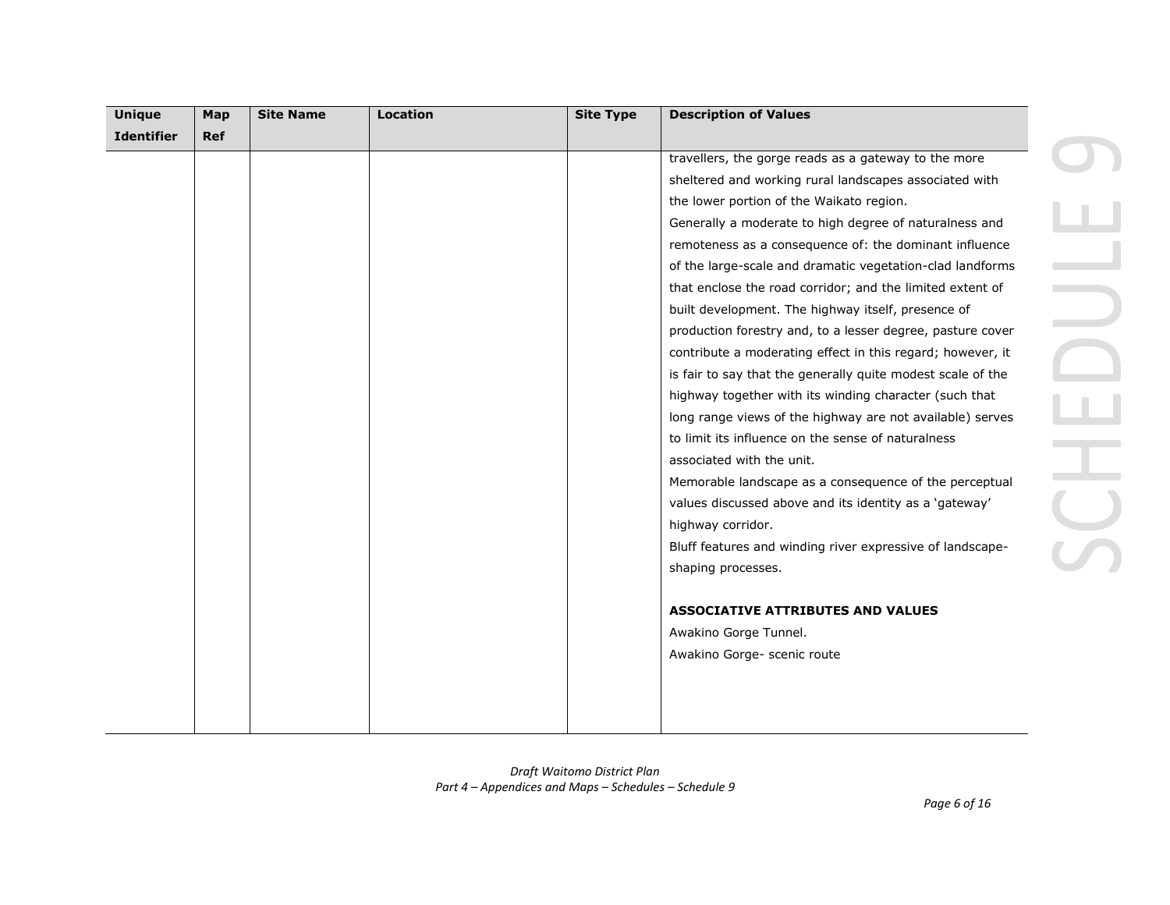| <b>Unique</b>     | Map | <b>Site Name</b> | Location | <b>Site Type</b> | <b>Description of Values</b>                                |  |
|-------------------|-----|------------------|----------|------------------|-------------------------------------------------------------|--|
| <b>Identifier</b> | Ref |                  |          |                  |                                                             |  |
|                   |     |                  |          |                  | travellers, the gorge reads as a gateway to the more        |  |
|                   |     |                  |          |                  | sheltered and working rural landscapes associated with      |  |
|                   |     |                  |          |                  | the lower portion of the Waikato region.                    |  |
|                   |     |                  |          |                  | Generally a moderate to high degree of naturalness and      |  |
|                   |     |                  |          |                  | remoteness as a consequence of: the dominant influence      |  |
|                   |     |                  |          |                  | of the large-scale and dramatic vegetation-clad landforms   |  |
|                   |     |                  |          |                  | that enclose the road corridor; and the limited extent of   |  |
|                   |     |                  |          |                  | built development. The highway itself, presence of          |  |
|                   |     |                  |          |                  | production forestry and, to a lesser degree, pasture cover  |  |
|                   |     |                  |          |                  | contribute a moderating effect in this regard; however, it  |  |
|                   |     |                  |          |                  | is fair to say that the generally quite modest scale of the |  |
|                   |     |                  |          |                  | highway together with its winding character (such that      |  |
|                   |     |                  |          |                  | long range views of the highway are not available) serves   |  |
|                   |     |                  |          |                  | to limit its influence on the sense of naturalness          |  |
|                   |     |                  |          |                  | associated with the unit.                                   |  |
|                   |     |                  |          |                  | Memorable landscape as a consequence of the perceptual      |  |
|                   |     |                  |          |                  | values discussed above and its identity as a 'gateway'      |  |
|                   |     |                  |          |                  | highway corridor.                                           |  |
|                   |     |                  |          |                  | Bluff features and winding river expressive of landscape-   |  |
|                   |     |                  |          |                  | shaping processes.                                          |  |
|                   |     |                  |          |                  |                                                             |  |
|                   |     |                  |          |                  | <b>ASSOCIATIVE ATTRIBUTES AND VALUES</b>                    |  |
|                   |     |                  |          |                  | Awakino Gorge Tunnel.                                       |  |
|                   |     |                  |          |                  | Awakino Gorge- scenic route                                 |  |
|                   |     |                  |          |                  |                                                             |  |
|                   |     |                  |          |                  |                                                             |  |
|                   |     |                  |          |                  |                                                             |  |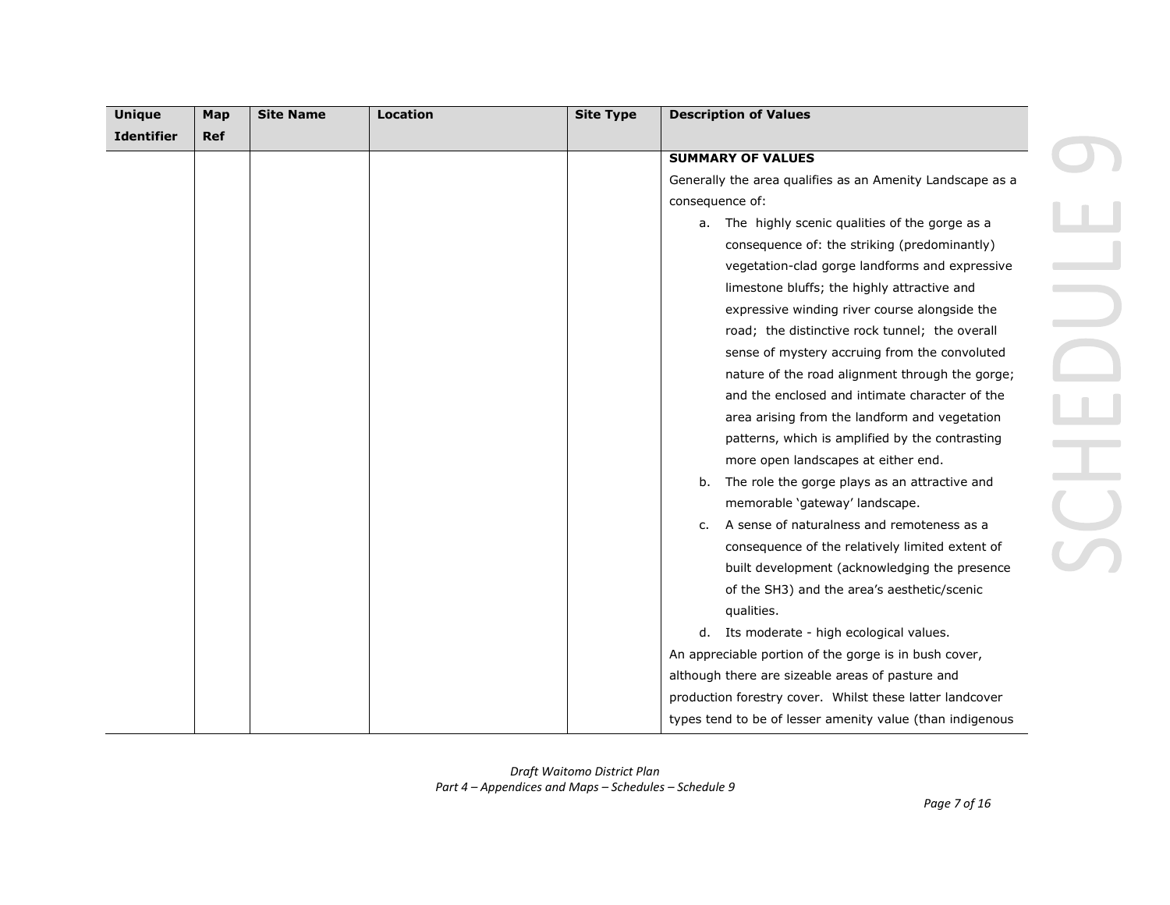| <b>Unique</b>     | Map        | <b>Site Name</b> | <b>Location</b> | <b>Site Type</b> | <b>Description of Values</b>                              |
|-------------------|------------|------------------|-----------------|------------------|-----------------------------------------------------------|
| <b>Identifier</b> | <b>Ref</b> |                  |                 |                  |                                                           |
|                   |            |                  |                 |                  | <b>SUMMARY OF VALUES</b>                                  |
|                   |            |                  |                 |                  | Generally the area qualifies as an Amenity Landscape as a |
|                   |            |                  |                 |                  | consequence of:                                           |
|                   |            |                  |                 |                  | a. The highly scenic qualities of the gorge as a          |
|                   |            |                  |                 |                  | consequence of: the striking (predominantly)              |
|                   |            |                  |                 |                  | vegetation-clad gorge landforms and expressive            |
|                   |            |                  |                 |                  | limestone bluffs; the highly attractive and               |
|                   |            |                  |                 |                  | expressive winding river course alongside the             |
|                   |            |                  |                 |                  | road; the distinctive rock tunnel; the overall            |
|                   |            |                  |                 |                  | sense of mystery accruing from the convoluted             |
|                   |            |                  |                 |                  | nature of the road alignment through the gorge;           |
|                   |            |                  |                 |                  | and the enclosed and intimate character of the            |
|                   |            |                  |                 |                  | area arising from the landform and vegetation             |
|                   |            |                  |                 |                  | patterns, which is amplified by the contrasting           |
|                   |            |                  |                 |                  | more open landscapes at either end.                       |
|                   |            |                  |                 |                  | The role the gorge plays as an attractive and<br>b.       |
|                   |            |                  |                 |                  | memorable 'gateway' landscape.                            |
|                   |            |                  |                 |                  | c. A sense of naturalness and remoteness as a             |
|                   |            |                  |                 |                  | consequence of the relatively limited extent of           |
|                   |            |                  |                 |                  | built development (acknowledging the presence             |
|                   |            |                  |                 |                  | of the SH3) and the area's aesthetic/scenic               |
|                   |            |                  |                 |                  | qualities.                                                |
|                   |            |                  |                 |                  | d. Its moderate - high ecological values.                 |
|                   |            |                  |                 |                  | An appreciable portion of the gorge is in bush cover,     |
|                   |            |                  |                 |                  | although there are sizeable areas of pasture and          |
|                   |            |                  |                 |                  | production forestry cover. Whilst these latter landcover  |
|                   |            |                  |                 |                  | types tend to be of lesser amenity value (than indigenous |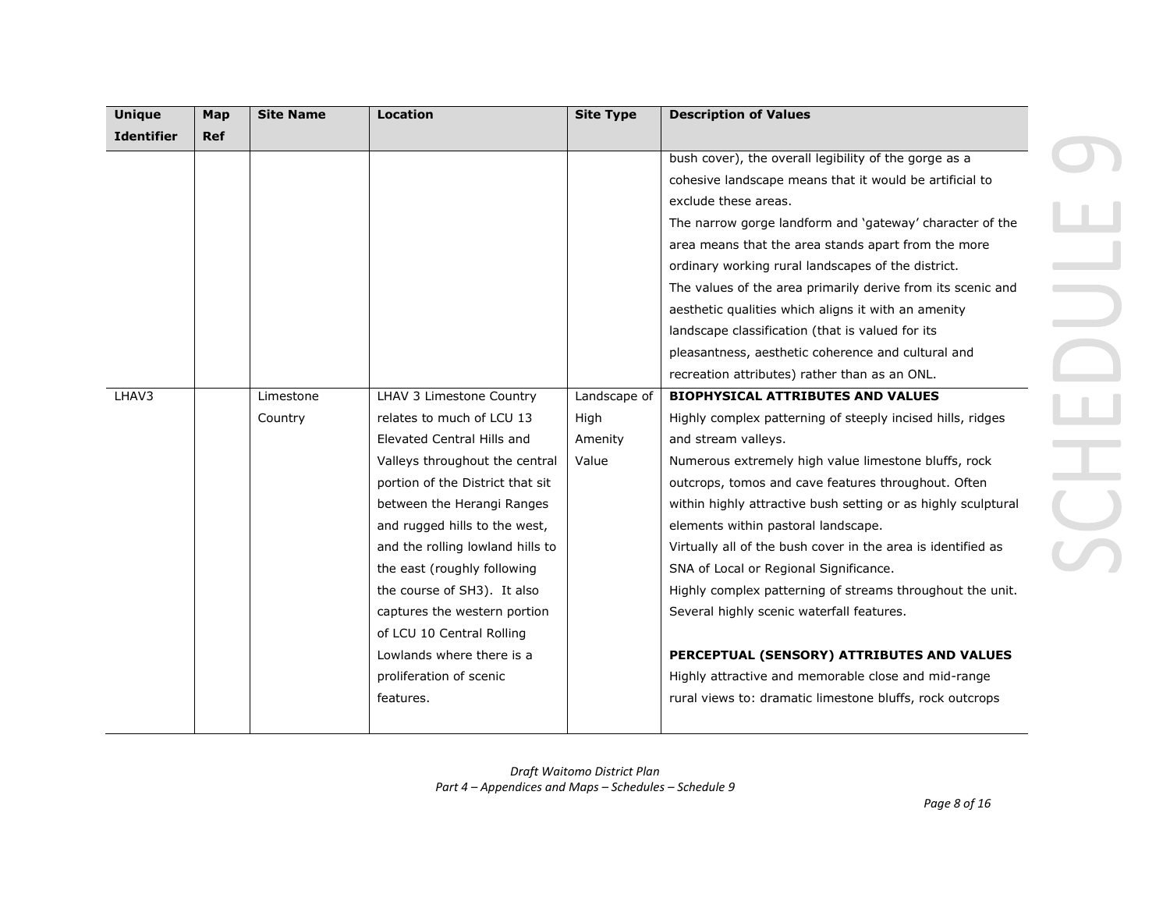| <b>Unique</b>     | Map        | <b>Site Name</b> | <b>Location</b>                  | <b>Site Type</b> | <b>Description of Values</b>                                  |
|-------------------|------------|------------------|----------------------------------|------------------|---------------------------------------------------------------|
| <b>Identifier</b> | <b>Ref</b> |                  |                                  |                  |                                                               |
|                   |            |                  |                                  |                  | bush cover), the overall legibility of the gorge as a         |
|                   |            |                  |                                  |                  | cohesive landscape means that it would be artificial to       |
|                   |            |                  |                                  |                  | exclude these areas.                                          |
|                   |            |                  |                                  |                  | The narrow gorge landform and 'gateway' character of the      |
|                   |            |                  |                                  |                  | area means that the area stands apart from the more           |
|                   |            |                  |                                  |                  | ordinary working rural landscapes of the district.            |
|                   |            |                  |                                  |                  | The values of the area primarily derive from its scenic and   |
|                   |            |                  |                                  |                  | aesthetic qualities which aligns it with an amenity           |
|                   |            |                  |                                  |                  | landscape classification (that is valued for its              |
|                   |            |                  |                                  |                  | pleasantness, aesthetic coherence and cultural and            |
|                   |            |                  |                                  |                  | recreation attributes) rather than as an ONL.                 |
| LHAV3             |            | Limestone        | LHAV 3 Limestone Country         | Landscape of     | <b>BIOPHYSICAL ATTRIBUTES AND VALUES</b>                      |
|                   |            | Country          | relates to much of LCU 13        | High             | Highly complex patterning of steeply incised hills, ridges    |
|                   |            |                  | Elevated Central Hills and       | Amenity          | and stream valleys.                                           |
|                   |            |                  | Valleys throughout the central   | Value            | Numerous extremely high value limestone bluffs, rock          |
|                   |            |                  | portion of the District that sit |                  | outcrops, tomos and cave features throughout. Often           |
|                   |            |                  | between the Herangi Ranges       |                  | within highly attractive bush setting or as highly sculptural |
|                   |            |                  | and rugged hills to the west,    |                  | elements within pastoral landscape.                           |
|                   |            |                  | and the rolling lowland hills to |                  | Virtually all of the bush cover in the area is identified as  |
|                   |            |                  | the east (roughly following      |                  | SNA of Local or Regional Significance.                        |
|                   |            |                  | the course of SH3). It also      |                  | Highly complex patterning of streams throughout the unit.     |
|                   |            |                  | captures the western portion     |                  | Several highly scenic waterfall features.                     |
|                   |            |                  | of LCU 10 Central Rolling        |                  |                                                               |
|                   |            |                  | Lowlands where there is a        |                  | PERCEPTUAL (SENSORY) ATTRIBUTES AND VALUES                    |
|                   |            |                  | proliferation of scenic          |                  | Highly attractive and memorable close and mid-range           |
|                   |            |                  | features.                        |                  | rural views to: dramatic limestone bluffs, rock outcrops      |
|                   |            |                  |                                  |                  |                                                               |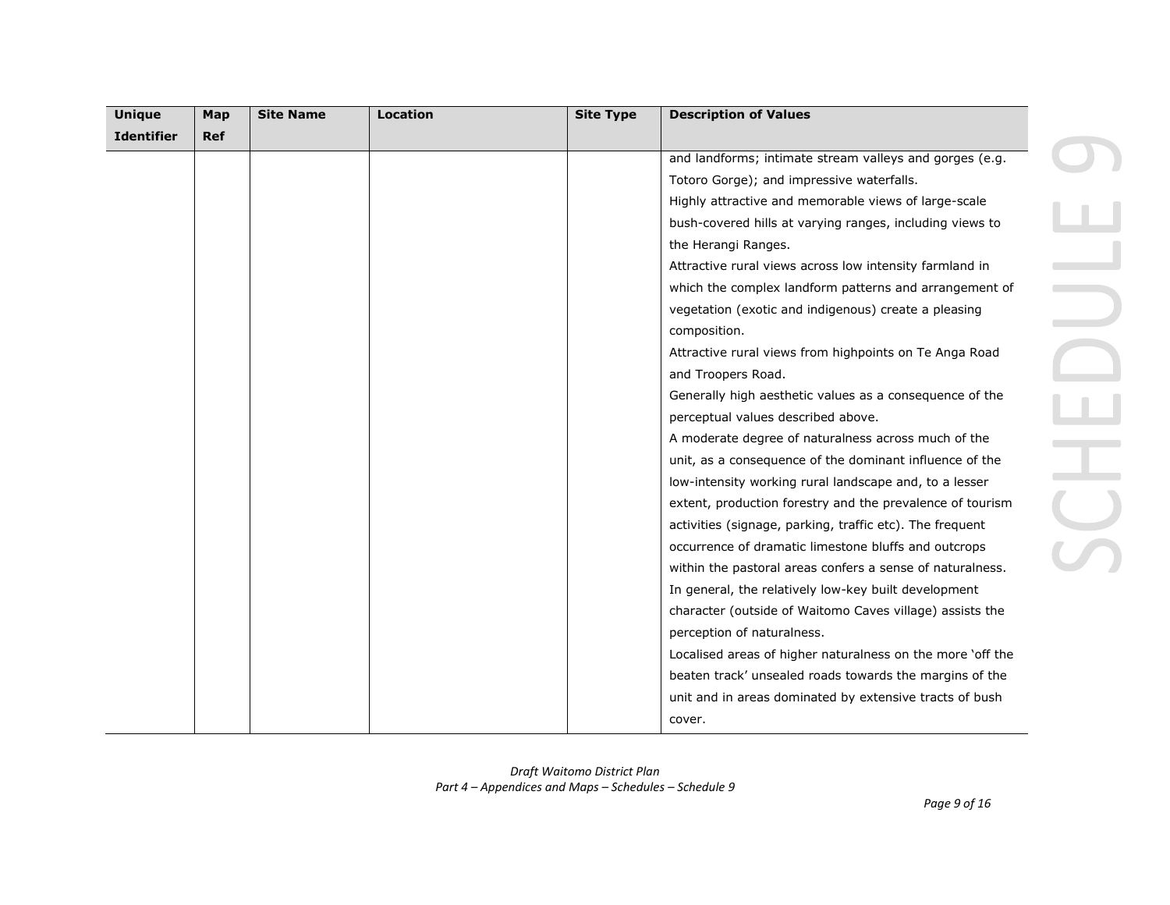| <b>Unique</b>     | Map        | <b>Site Name</b> | <b>Location</b> | <b>Site Type</b> | <b>Description of Values</b>                               |
|-------------------|------------|------------------|-----------------|------------------|------------------------------------------------------------|
| <b>Identifier</b> | <b>Ref</b> |                  |                 |                  |                                                            |
|                   |            |                  |                 |                  | and landforms; intimate stream valleys and gorges (e.g.    |
|                   |            |                  |                 |                  | Totoro Gorge); and impressive waterfalls.                  |
|                   |            |                  |                 |                  | Highly attractive and memorable views of large-scale       |
|                   |            |                  |                 |                  | bush-covered hills at varying ranges, including views to   |
|                   |            |                  |                 |                  | the Herangi Ranges.                                        |
|                   |            |                  |                 |                  | Attractive rural views across low intensity farmland in    |
|                   |            |                  |                 |                  | which the complex landform patterns and arrangement of     |
|                   |            |                  |                 |                  | vegetation (exotic and indigenous) create a pleasing       |
|                   |            |                  |                 |                  | composition.                                               |
|                   |            |                  |                 |                  | Attractive rural views from highpoints on Te Anga Road     |
|                   |            |                  |                 |                  | and Troopers Road.                                         |
|                   |            |                  |                 |                  | Generally high aesthetic values as a consequence of the    |
|                   |            |                  |                 |                  | perceptual values described above.                         |
|                   |            |                  |                 |                  | A moderate degree of naturalness across much of the        |
|                   |            |                  |                 |                  | unit, as a consequence of the dominant influence of the    |
|                   |            |                  |                 |                  | low-intensity working rural landscape and, to a lesser     |
|                   |            |                  |                 |                  | extent, production forestry and the prevalence of tourism  |
|                   |            |                  |                 |                  | activities (signage, parking, traffic etc). The frequent   |
|                   |            |                  |                 |                  | occurrence of dramatic limestone bluffs and outcrops       |
|                   |            |                  |                 |                  | within the pastoral areas confers a sense of naturalness.  |
|                   |            |                  |                 |                  | In general, the relatively low-key built development       |
|                   |            |                  |                 |                  | character (outside of Waitomo Caves village) assists the   |
|                   |            |                  |                 |                  | perception of naturalness.                                 |
|                   |            |                  |                 |                  | Localised areas of higher naturalness on the more 'off the |
|                   |            |                  |                 |                  | beaten track' unsealed roads towards the margins of the    |
|                   |            |                  |                 |                  | unit and in areas dominated by extensive tracts of bush    |
|                   |            |                  |                 |                  | cover.                                                     |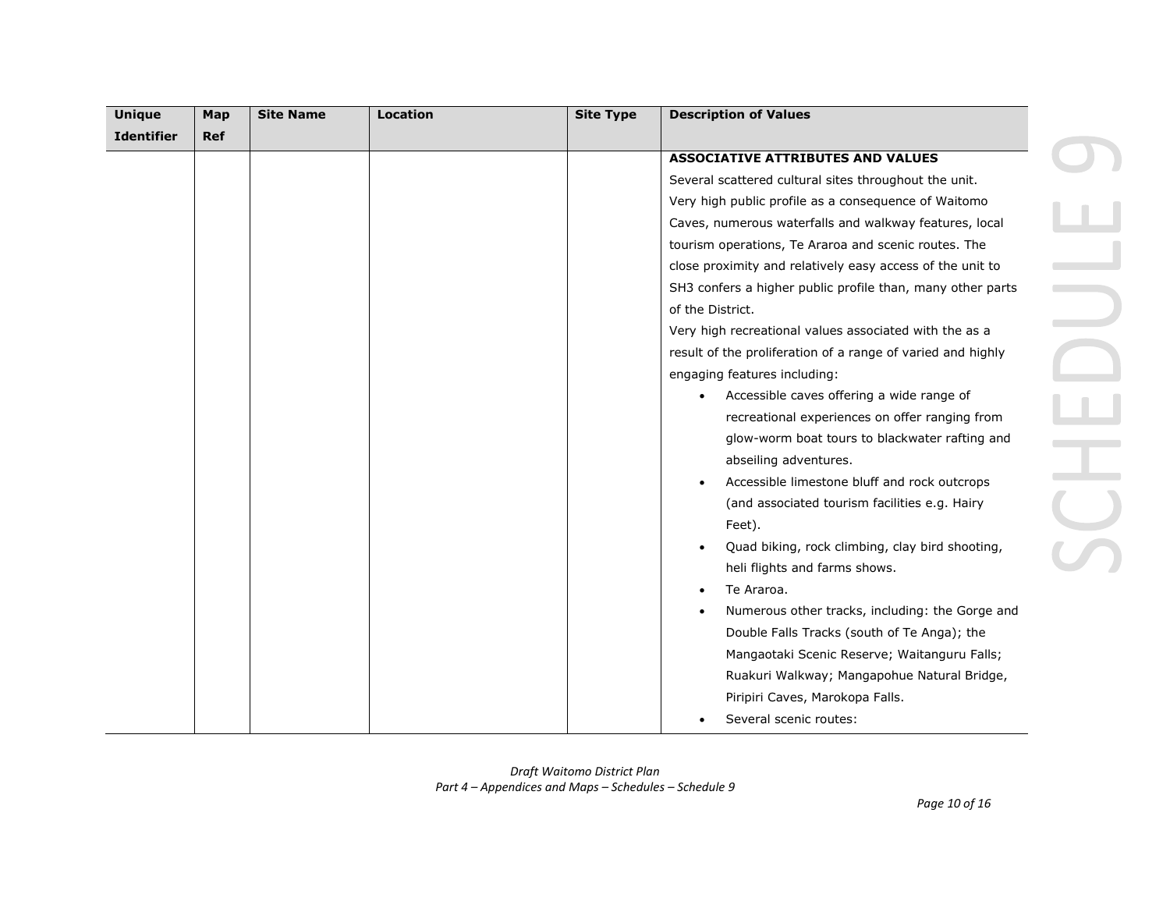| <b>Unique</b>     | Map        | <b>Site Name</b> | <b>Location</b> | <b>Site Type</b> | <b>Description of Values</b>                                |  |
|-------------------|------------|------------------|-----------------|------------------|-------------------------------------------------------------|--|
| <b>Identifier</b> | <b>Ref</b> |                  |                 |                  |                                                             |  |
|                   |            |                  |                 |                  | <b>ASSOCIATIVE ATTRIBUTES AND VALUES</b>                    |  |
|                   |            |                  |                 |                  | Several scattered cultural sites throughout the unit.       |  |
|                   |            |                  |                 |                  | Very high public profile as a consequence of Waitomo        |  |
|                   |            |                  |                 |                  | Caves, numerous waterfalls and walkway features, local      |  |
|                   |            |                  |                 |                  | tourism operations, Te Araroa and scenic routes. The        |  |
|                   |            |                  |                 |                  | close proximity and relatively easy access of the unit to   |  |
|                   |            |                  |                 |                  | SH3 confers a higher public profile than, many other parts  |  |
|                   |            |                  |                 |                  | of the District.                                            |  |
|                   |            |                  |                 |                  | Very high recreational values associated with the as a      |  |
|                   |            |                  |                 |                  | result of the proliferation of a range of varied and highly |  |
|                   |            |                  |                 |                  | engaging features including:                                |  |
|                   |            |                  |                 |                  | Accessible caves offering a wide range of                   |  |
|                   |            |                  |                 |                  | recreational experiences on offer ranging from              |  |
|                   |            |                  |                 |                  | glow-worm boat tours to blackwater rafting and              |  |
|                   |            |                  |                 |                  | abseiling adventures.                                       |  |
|                   |            |                  |                 |                  | Accessible limestone bluff and rock outcrops                |  |
|                   |            |                  |                 |                  | (and associated tourism facilities e.g. Hairy               |  |
|                   |            |                  |                 |                  | Feet).                                                      |  |
|                   |            |                  |                 |                  | Quad biking, rock climbing, clay bird shooting,             |  |
|                   |            |                  |                 |                  | heli flights and farms shows.                               |  |
|                   |            |                  |                 |                  | Te Araroa.                                                  |  |
|                   |            |                  |                 |                  | Numerous other tracks, including: the Gorge and             |  |
|                   |            |                  |                 |                  | Double Falls Tracks (south of Te Anga); the                 |  |
|                   |            |                  |                 |                  | Mangaotaki Scenic Reserve; Waitanguru Falls;                |  |
|                   |            |                  |                 |                  | Ruakuri Walkway; Mangapohue Natural Bridge,                 |  |
|                   |            |                  |                 |                  | Piripiri Caves, Marokopa Falls.                             |  |
|                   |            |                  |                 |                  | Several scenic routes:                                      |  |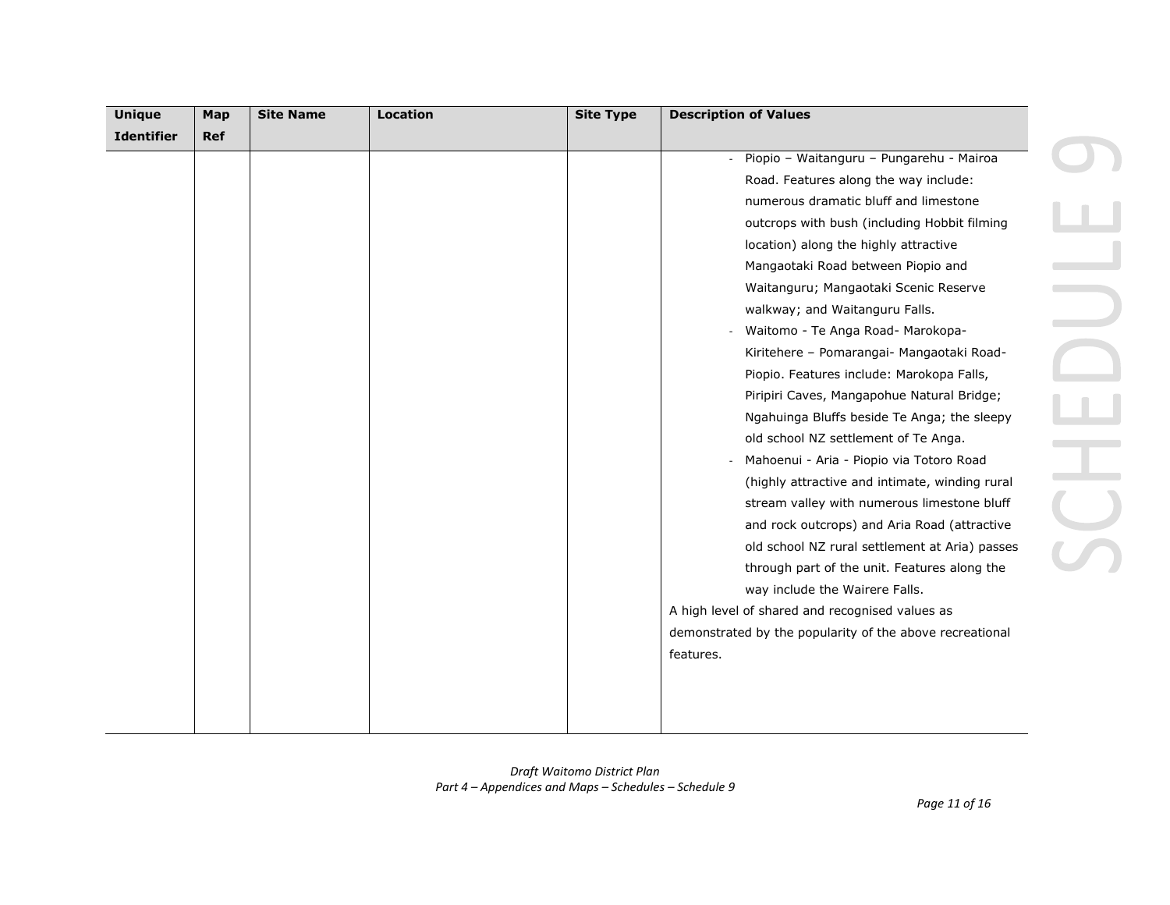| <b>Unique</b>     | Map        | <b>Site Name</b> | Location | <b>Site Type</b> | <b>Description of Values</b>                               |
|-------------------|------------|------------------|----------|------------------|------------------------------------------------------------|
| <b>Identifier</b> | <b>Ref</b> |                  |          |                  |                                                            |
|                   |            |                  |          |                  | Piopio - Waitanguru - Pungarehu - Mairoa<br>$\blacksquare$ |
|                   |            |                  |          |                  | Road. Features along the way include:                      |
|                   |            |                  |          |                  | numerous dramatic bluff and limestone                      |
|                   |            |                  |          |                  | outcrops with bush (including Hobbit filming               |
|                   |            |                  |          |                  | location) along the highly attractive                      |
|                   |            |                  |          |                  | Mangaotaki Road between Piopio and                         |
|                   |            |                  |          |                  | Waitanguru; Mangaotaki Scenic Reserve                      |
|                   |            |                  |          |                  | walkway; and Waitanguru Falls.                             |
|                   |            |                  |          |                  | Waitomo - Te Anga Road- Marokopa-                          |
|                   |            |                  |          |                  | Kiritehere - Pomarangai- Mangaotaki Road-                  |
|                   |            |                  |          |                  | Piopio. Features include: Marokopa Falls,                  |
|                   |            |                  |          |                  | Piripiri Caves, Mangapohue Natural Bridge;                 |
|                   |            |                  |          |                  | Ngahuinga Bluffs beside Te Anga; the sleepy                |
|                   |            |                  |          |                  | old school NZ settlement of Te Anga.                       |
|                   |            |                  |          |                  | Mahoenui - Aria - Piopio via Totoro Road                   |
|                   |            |                  |          |                  | (highly attractive and intimate, winding rural             |
|                   |            |                  |          |                  | stream valley with numerous limestone bluff                |
|                   |            |                  |          |                  | and rock outcrops) and Aria Road (attractive               |
|                   |            |                  |          |                  | old school NZ rural settlement at Aria) passes             |
|                   |            |                  |          |                  | through part of the unit. Features along the               |
|                   |            |                  |          |                  | way include the Wairere Falls.                             |
|                   |            |                  |          |                  | A high level of shared and recognised values as            |
|                   |            |                  |          |                  | demonstrated by the popularity of the above recreational   |
|                   |            |                  |          |                  | features.                                                  |
|                   |            |                  |          |                  |                                                            |
|                   |            |                  |          |                  |                                                            |
|                   |            |                  |          |                  |                                                            |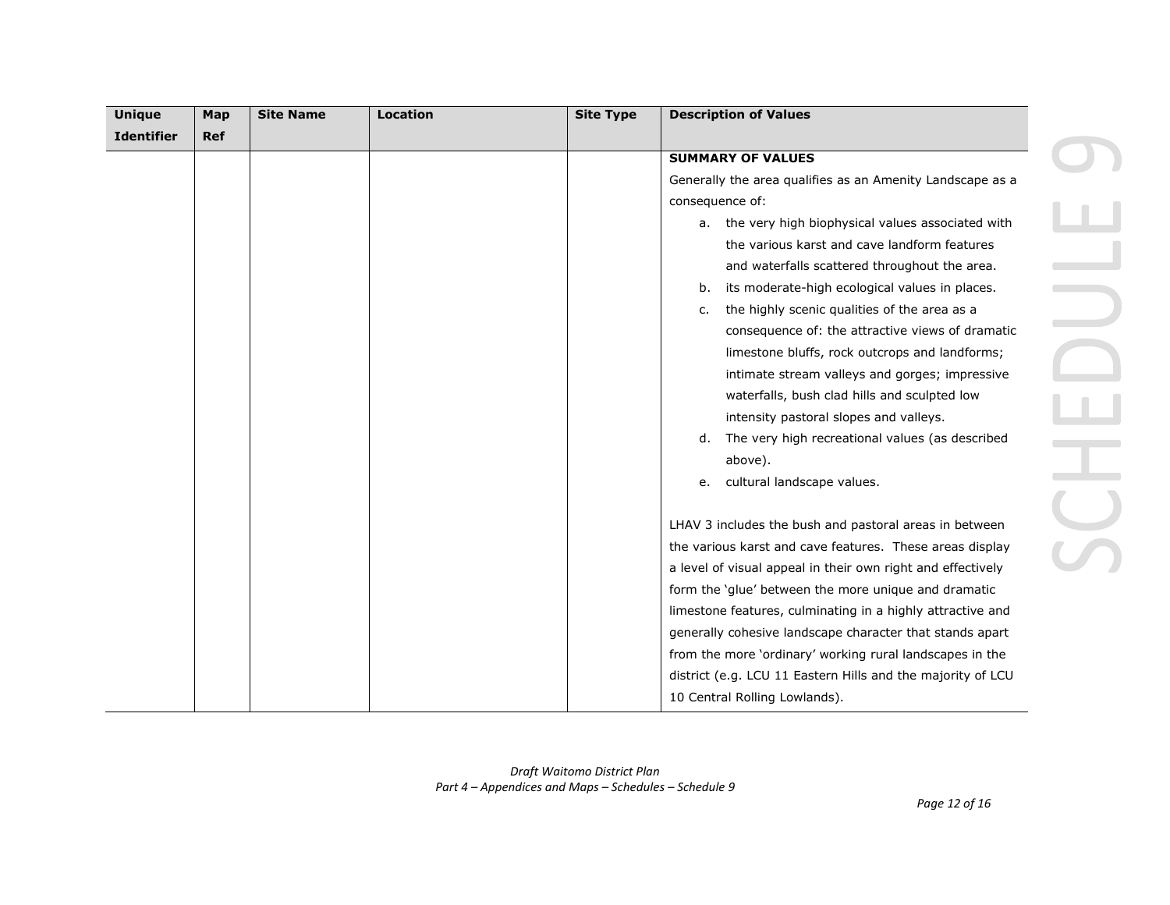| <b>Unique</b>     | Map        | <b>Site Name</b> | <b>Location</b> | <b>Site Type</b> | <b>Description of Values</b>                                |
|-------------------|------------|------------------|-----------------|------------------|-------------------------------------------------------------|
| <b>Identifier</b> | <b>Ref</b> |                  |                 |                  |                                                             |
|                   |            |                  |                 |                  | <b>SUMMARY OF VALUES</b>                                    |
|                   |            |                  |                 |                  | Generally the area qualifies as an Amenity Landscape as a   |
|                   |            |                  |                 |                  | consequence of:                                             |
|                   |            |                  |                 |                  | a. the very high biophysical values associated with         |
|                   |            |                  |                 |                  | the various karst and cave landform features                |
|                   |            |                  |                 |                  | and waterfalls scattered throughout the area.               |
|                   |            |                  |                 |                  | its moderate-high ecological values in places.<br>b.        |
|                   |            |                  |                 |                  | the highly scenic qualities of the area as a<br>c.          |
|                   |            |                  |                 |                  | consequence of: the attractive views of dramatic            |
|                   |            |                  |                 |                  | limestone bluffs, rock outcrops and landforms;              |
|                   |            |                  |                 |                  | intimate stream valleys and gorges; impressive              |
|                   |            |                  |                 |                  | waterfalls, bush clad hills and sculpted low                |
|                   |            |                  |                 |                  | intensity pastoral slopes and valleys.                      |
|                   |            |                  |                 |                  | The very high recreational values (as described<br>d.       |
|                   |            |                  |                 |                  | above).                                                     |
|                   |            |                  |                 |                  | cultural landscape values.<br>e.                            |
|                   |            |                  |                 |                  |                                                             |
|                   |            |                  |                 |                  | LHAV 3 includes the bush and pastoral areas in between      |
|                   |            |                  |                 |                  | the various karst and cave features. These areas display    |
|                   |            |                  |                 |                  | a level of visual appeal in their own right and effectively |
|                   |            |                  |                 |                  | form the 'glue' between the more unique and dramatic        |
|                   |            |                  |                 |                  | limestone features, culminating in a highly attractive and  |
|                   |            |                  |                 |                  | generally cohesive landscape character that stands apart    |
|                   |            |                  |                 |                  | from the more 'ordinary' working rural landscapes in the    |
|                   |            |                  |                 |                  | district (e.g. LCU 11 Eastern Hills and the majority of LCU |
|                   |            |                  |                 |                  | 10 Central Rolling Lowlands).                               |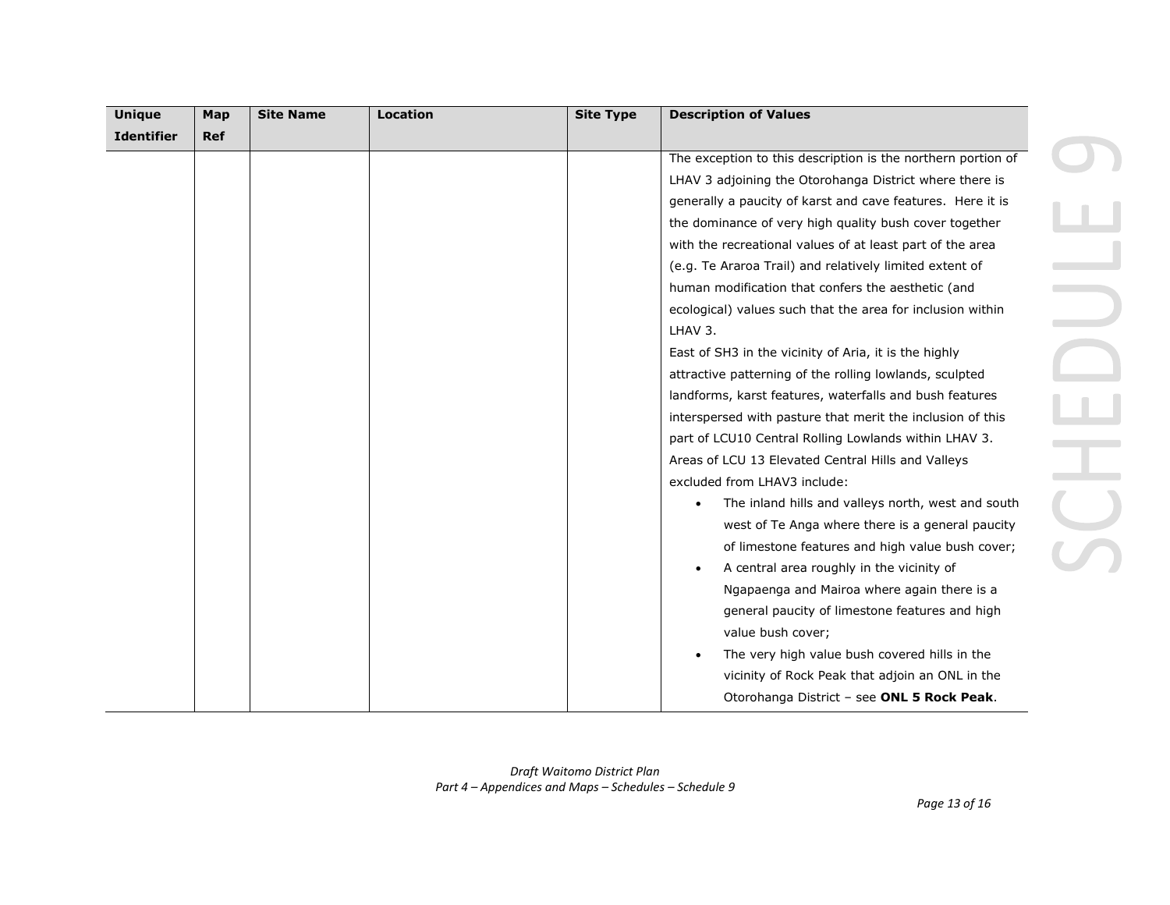| <b>Unique</b>     | Map        | <b>Site Name</b> | <b>Location</b> | <b>Site Type</b> | <b>Description of Values</b>                                 |
|-------------------|------------|------------------|-----------------|------------------|--------------------------------------------------------------|
| <b>Identifier</b> | <b>Ref</b> |                  |                 |                  |                                                              |
|                   |            |                  |                 |                  | The exception to this description is the northern portion of |
|                   |            |                  |                 |                  | LHAV 3 adjoining the Otorohanga District where there is      |
|                   |            |                  |                 |                  | generally a paucity of karst and cave features. Here it is   |
|                   |            |                  |                 |                  | the dominance of very high quality bush cover together       |
|                   |            |                  |                 |                  | with the recreational values of at least part of the area    |
|                   |            |                  |                 |                  | (e.g. Te Araroa Trail) and relatively limited extent of      |
|                   |            |                  |                 |                  | human modification that confers the aesthetic (and           |
|                   |            |                  |                 |                  | ecological) values such that the area for inclusion within   |
|                   |            |                  |                 |                  | LHAV 3.                                                      |
|                   |            |                  |                 |                  | East of SH3 in the vicinity of Aria, it is the highly        |
|                   |            |                  |                 |                  | attractive patterning of the rolling lowlands, sculpted      |
|                   |            |                  |                 |                  | landforms, karst features, waterfalls and bush features      |
|                   |            |                  |                 |                  | interspersed with pasture that merit the inclusion of this   |
|                   |            |                  |                 |                  | part of LCU10 Central Rolling Lowlands within LHAV 3.        |
|                   |            |                  |                 |                  | Areas of LCU 13 Elevated Central Hills and Valleys           |
|                   |            |                  |                 |                  | excluded from LHAV3 include:                                 |
|                   |            |                  |                 |                  | The inland hills and valleys north, west and south           |
|                   |            |                  |                 |                  | west of Te Anga where there is a general paucity             |
|                   |            |                  |                 |                  | of limestone features and high value bush cover;             |
|                   |            |                  |                 |                  | A central area roughly in the vicinity of                    |
|                   |            |                  |                 |                  | Ngapaenga and Mairoa where again there is a                  |
|                   |            |                  |                 |                  | general paucity of limestone features and high               |
|                   |            |                  |                 |                  | value bush cover;                                            |
|                   |            |                  |                 |                  | The very high value bush covered hills in the                |
|                   |            |                  |                 |                  | vicinity of Rock Peak that adjoin an ONL in the              |
|                   |            |                  |                 |                  | Otorohanga District - see ONL 5 Rock Peak.                   |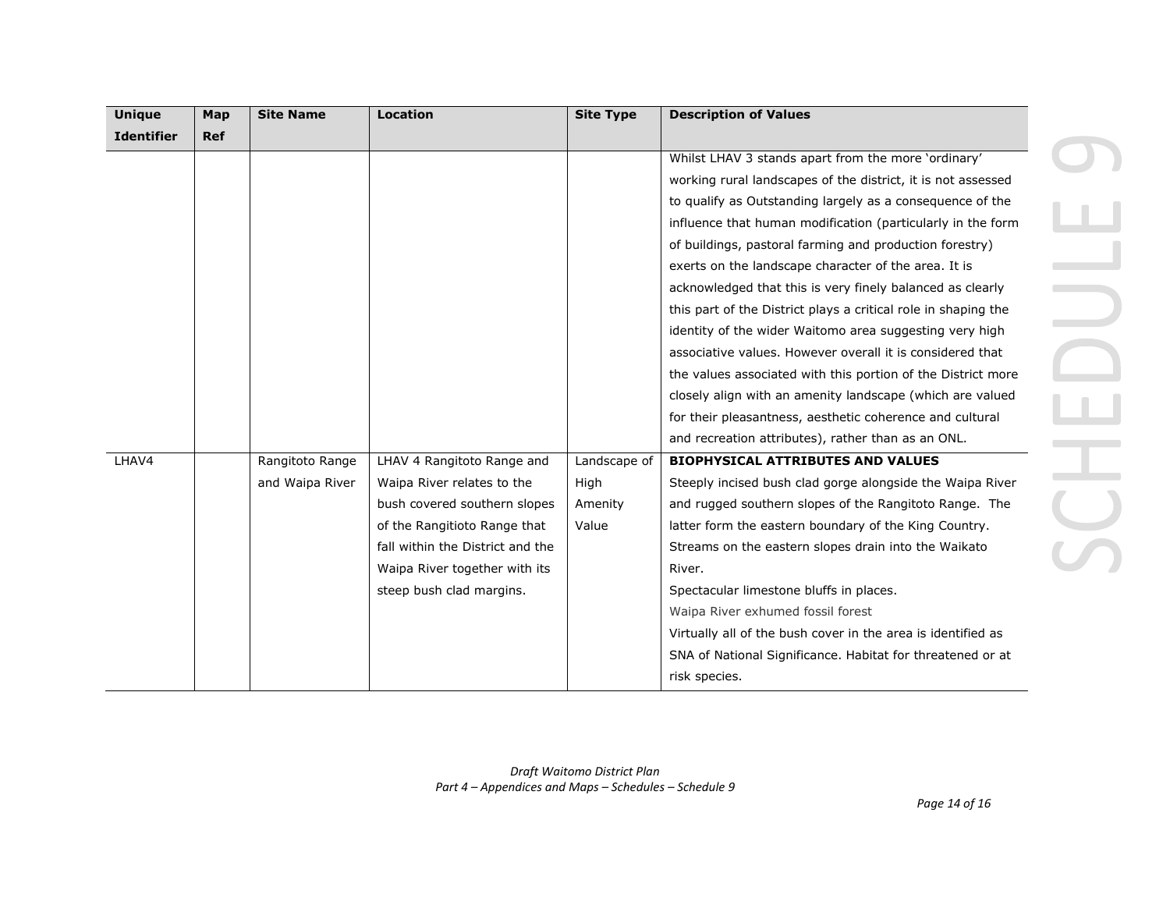| <b>Unique</b>     | Map        | <b>Site Name</b> | <b>Location</b>                  | <b>Site Type</b> | <b>Description of Values</b>                                   |
|-------------------|------------|------------------|----------------------------------|------------------|----------------------------------------------------------------|
| <b>Identifier</b> | <b>Ref</b> |                  |                                  |                  |                                                                |
|                   |            |                  |                                  |                  | Whilst LHAV 3 stands apart from the more 'ordinary'            |
|                   |            |                  |                                  |                  | working rural landscapes of the district, it is not assessed   |
|                   |            |                  |                                  |                  | to qualify as Outstanding largely as a consequence of the      |
|                   |            |                  |                                  |                  | influence that human modification (particularly in the form    |
|                   |            |                  |                                  |                  | of buildings, pastoral farming and production forestry)        |
|                   |            |                  |                                  |                  | exerts on the landscape character of the area. It is           |
|                   |            |                  |                                  |                  | acknowledged that this is very finely balanced as clearly      |
|                   |            |                  |                                  |                  | this part of the District plays a critical role in shaping the |
|                   |            |                  |                                  |                  | identity of the wider Waitomo area suggesting very high        |
|                   |            |                  |                                  |                  | associative values. However overall it is considered that      |
|                   |            |                  |                                  |                  | the values associated with this portion of the District more   |
|                   |            |                  |                                  |                  | closely align with an amenity landscape (which are valued      |
|                   |            |                  |                                  |                  | for their pleasantness, aesthetic coherence and cultural       |
|                   |            |                  |                                  |                  | and recreation attributes), rather than as an ONL.             |
| LHAV4             |            | Rangitoto Range  | LHAV 4 Rangitoto Range and       | Landscape of     | <b>BIOPHYSICAL ATTRIBUTES AND VALUES</b>                       |
|                   |            | and Waipa River  | Waipa River relates to the       | High             | Steeply incised bush clad gorge alongside the Waipa River      |
|                   |            |                  | bush covered southern slopes     | Amenity          | and rugged southern slopes of the Rangitoto Range. The         |
|                   |            |                  | of the Rangitioto Range that     | Value            | latter form the eastern boundary of the King Country.          |
|                   |            |                  | fall within the District and the |                  | Streams on the eastern slopes drain into the Waikato           |
|                   |            |                  | Waipa River together with its    |                  | River.                                                         |
|                   |            |                  | steep bush clad margins.         |                  | Spectacular limestone bluffs in places.                        |
|                   |            |                  |                                  |                  | Waipa River exhumed fossil forest                              |
|                   |            |                  |                                  |                  | Virtually all of the bush cover in the area is identified as   |
|                   |            |                  |                                  |                  | SNA of National Significance. Habitat for threatened or at     |
|                   |            |                  |                                  |                  | risk species.                                                  |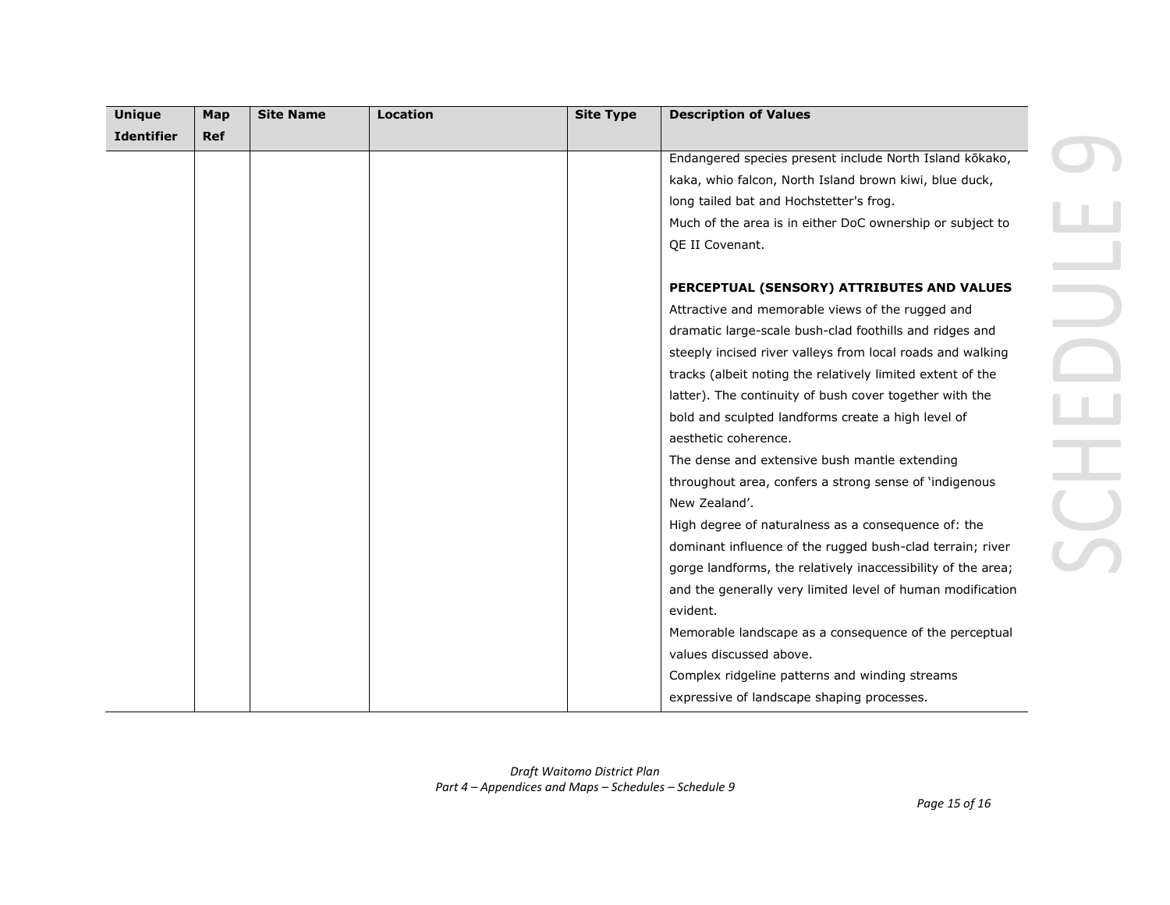| <b>Unique</b>     | Map        | <b>Site Name</b> | <b>Location</b> | <b>Site Type</b> | <b>Description of Values</b>                                 |
|-------------------|------------|------------------|-----------------|------------------|--------------------------------------------------------------|
| <b>Identifier</b> | <b>Ref</b> |                  |                 |                  |                                                              |
|                   |            |                  |                 |                  | Endangered species present include North Island kōkako,      |
|                   |            |                  |                 |                  | kaka, whio falcon, North Island brown kiwi, blue duck,       |
|                   |            |                  |                 |                  | long tailed bat and Hochstetter's frog.                      |
|                   |            |                  |                 |                  | Much of the area is in either DoC ownership or subject to    |
|                   |            |                  |                 |                  | QE II Covenant.                                              |
|                   |            |                  |                 |                  | PERCEPTUAL (SENSORY) ATTRIBUTES AND VALUES                   |
|                   |            |                  |                 |                  | Attractive and memorable views of the rugged and             |
|                   |            |                  |                 |                  | dramatic large-scale bush-clad foothills and ridges and      |
|                   |            |                  |                 |                  | steeply incised river valleys from local roads and walking   |
|                   |            |                  |                 |                  | tracks (albeit noting the relatively limited extent of the   |
|                   |            |                  |                 |                  | latter). The continuity of bush cover together with the      |
|                   |            |                  |                 |                  | bold and sculpted landforms create a high level of           |
|                   |            |                  |                 |                  | aesthetic coherence.                                         |
|                   |            |                  |                 |                  | The dense and extensive bush mantle extending                |
|                   |            |                  |                 |                  | throughout area, confers a strong sense of 'indigenous       |
|                   |            |                  |                 |                  | New Zealand'.                                                |
|                   |            |                  |                 |                  | High degree of naturalness as a consequence of: the          |
|                   |            |                  |                 |                  | dominant influence of the rugged bush-clad terrain; river    |
|                   |            |                  |                 |                  | gorge landforms, the relatively inaccessibility of the area; |
|                   |            |                  |                 |                  | and the generally very limited level of human modification   |
|                   |            |                  |                 |                  | evident.                                                     |
|                   |            |                  |                 |                  | Memorable landscape as a consequence of the perceptual       |
|                   |            |                  |                 |                  | values discussed above.                                      |
|                   |            |                  |                 |                  | Complex ridgeline patterns and winding streams               |
|                   |            |                  |                 |                  | expressive of landscape shaping processes.                   |